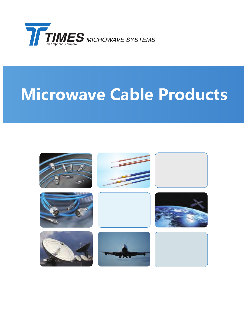

# **Microwave Cable Products**

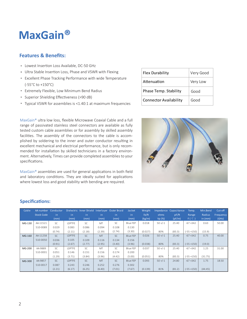### **MaxGain®**

#### **Features & Benefits:**

- Lowest Insertion Loss Available, DC-50 GHz
- Ultra Stable Insertion Loss, Phase and VSWR with Flexing
- Excellent Phase Tracking Performance with wide Temperature (-55°C to +150°C)
- Extremely Flexible, Low Minimum Bend Radius
- Superior Shielding Effectiveness (>90 dB)
- Typical VSWR for assemblies is <1.40:1 at maximum frequencies

MaxGain® ultra low loss, flexible Microwave Coaxial Cable and a full range of passivated stainless steel connectors are available as fully tested custom cable assemblies or for assembly by skilled assembly facilities. The assembly of the connectors to the cable is accomplished by soldering to the inner and outer conductor resulting in excellent mechanical and electrical performance, but is only recommended for installation by skilled technicians in a factory environment. Alternatively, Times can provide completed assemblies to your specifications.

MaxGain® assemblies are used for general applications in both field and laboratory conditions. They are ideally suited for applications where lowest loss and good stability with bending are required.

| <b>Flex Durability</b>        | Very Good |
|-------------------------------|-----------|
| Attenuation                   | Very Low  |
| Phase Temp. Stability         | Good      |
| <b>Connector Availability</b> | Good      |



#### **Specifications:**

| Cable  |                   | AA number Conductor |               | Dielectric Inner Shield Interlayer Outer Braid |           |           | <b>Jacket</b> | Weight             |             | Impedance Capacitance | Temp.         | Min.Bend  | Cut-off   |
|--------|-------------------|---------------------|---------------|------------------------------------------------|-----------|-----------|---------------|--------------------|-------------|-----------------------|---------------|-----------|-----------|
|        | <b>Stock Code</b> | in.                 | in.           | in.                                            | in.       | in        | in.           | 1 <sub>b</sub> /ft | ohms        | pF/ft                 | Range         | Radius    | Frequency |
|        |                   | (mm)                | (mm)          | (mm)                                           | (mm)      | (mm)      | (mm)          | (kg/m)             | Vp (%)      | (pF/m)                | F(C)          | in $(mm)$ | (GHz)     |
| MG-130 | AA-11521          | <b>SC</b>           | <b>LDPTFE</b> | <b>SC</b>                                      | MT        | <b>SC</b> | Blue FEP      | 0.018              | $50 + (-1)$ | 25.40                 | $-67 + 342$   | 0.63      | 50.00     |
|        | 510-0089          | 0.029               | 0.083         | 0.086                                          | 0.094     | 0.108     | 0.130         |                    |             |                       |               |           |           |
|        |                   | (0.74)              | (2.11)        | (2.18)                                         | (2.39)    | (2.74)    | (3.30)        | (0.027)            | 80%         | (83.3)                | $(-55 + 150)$ | (15.9)    |           |
| MG-160 | AA-11258          | <b>SC</b>           | <b>LDPTFE</b> | <b>SC</b>                                      | <b>MT</b> | <b>SC</b> | Blue FEP      | 0.026              | $50 + (-1)$ | 25.40                 | $-67 + 342$   | 0.75      | 40.00     |
|        | 510-0050          | 0.036               | 0.105         | 0.109                                          | 0.116     | 0.134     | 0.156         |                    |             |                       |               |           |           |
|        |                   | (0.91)              | (2.67)        | (2.77)                                         | (2.95)    | (3.40)    | (3.96)        | (0.038)            | 80%         | (83.3)                | $(-55 + 150)$ | (19.0)    |           |
| MG-200 | AA-9889           | <b>SC</b>           | LDPTFE        | <b>SC</b>                                      | MT        | <b>SC</b> | Blue FEP      | 0.037              | $50 + (-1)$ | 25.40                 | $-67 + 342$   | 1.25      | 31.00     |
|        | 510-0001          | 0.051               | 0.146         | 0.151                                          | 0.156     | 0.174     | 0.200         |                    |             |                       |               |           |           |
|        |                   | (1.29)              | (3.71)        | (3.84)                                         | (3.96)    | (4.42)    | (5.00)        | (0.051)            | 80%         | (83.3)                | $(-55 + 150)$ | (31.75)   |           |
| MG-300 | AA-9857           | SC <sub>c</sub>     | <b>LDPTFE</b> | <b>SC</b>                                      | <b>MT</b> | <b>SC</b> | Blue FEP      | 0.093              | $50 + (-1)$ | 24.80                 | $-67 + 342$   | 1.75      | 18.50     |
|        | 510-0017          | 0.087               | 0.243         | 0.246                                          | 0.252     | 0.276     | 0.302         |                    |             |                       |               |           |           |
|        |                   | (2.21)              | (6.17)        | (6.25)                                         | (6.40)    | (7.01)    | (7.67)        | (0.139)            | 81%         | (81.2)                | $(-55 + 150)$ | (44.45)   |           |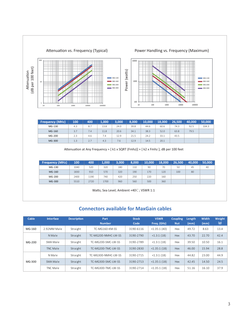

| <b>Frequency (MHz)</b> | 100 | 400 | 1.000 | 3.000 | 8.000 | 10.000 | 18.000 | 26.500 | 140.000 | 50.000 |
|------------------------|-----|-----|-------|-------|-------|--------|--------|--------|---------|--------|
| MG-130                 | 4.3 | 8.7 | 13.8  | 24.0  | 39.8  | 44.6   | 60.6   | 74.3   | 92.5    | 104.3  |
| MG-160                 | 3.7 | 7.4 | 11.8  | 20.6  | 34.1  | 38.3   | 52.0   | 63.8   | 79.5    |        |
| MG-200                 | 2.3 | 4.6 | 7.4   | 12.9  | 21.5  | 24.2   | 33.1   | 43.5   |         |        |
| MG-300                 | 1.3 | 2.7 | 4.3   | 7.6   | 12.9  | 14.5   | 20.1   |        |         |        |

| <b>Frequency (MHz)</b> | 100  | 400  | 1.000 | 3.000 | 8.000 | 10.000 | 18,000 | 26.500 | 40.000 | 50.000 |
|------------------------|------|------|-------|-------|-------|--------|--------|--------|--------|--------|
| MG-130                 | 1040 | 520  | 320   | 180   | 110   | 90     | 70     | 50     | 45     | 40     |
| MG-160                 | 1830 | 910  | 570   | 320   | 190   | 170    | 120    | 100    | 80     |        |
| MG-200                 | 2400 | 1190 | 740   | 420   | 250   | 220    | 160    |        |        |        |
| MG-300                 | 5510 | 2720 | 1700  | 960   | 560   | 500    | 360    |        |        |        |

Watts; Sea Level; Ambient +40°C ; VSWR 1:1

#### **Connectors available for MaxGain cables**

| Cable  | <b>Interface</b> | <b>Description</b> | Part<br><b>Number</b> | <b>Stock</b><br>Code | <b>VSWR</b><br>Freq. (GHz) | <b>Coupling</b><br><b>Nut</b> | Length<br>(mm) | <b>Width</b><br>(mm) | Weight<br>(g) |
|--------|------------------|--------------------|-----------------------|----------------------|----------------------------|-------------------------------|----------------|----------------------|---------------|
| MG-160 | 2.92MM Male      | Straight           | TC-MG160-KM-SS        | 3190-6116            | <1.35:1(40)                | Hex                           | 49.72          | 8.63                 | 13.4          |
|        | N Male           | Straight           | TC-MG200-NMHC-IW-SS   | 3190-2790            | <1.3:1(18)                 | <b>Hex</b>                    | 43.70          | 22.70                | 42.4          |
| MG-200 | SMA Male         | Straight           | TC-MG200-SMC-LW-SS    | 3190-2789            | $<$ 1.3:1 (18)             | Hex                           | 39.50          | 10.50                | 16.1          |
|        | TNC Male         | Straight           | TC-MG200-TMC-LW-SS    | 3190-2830            | <1.35:1(18)                | Hex                           | 46.00          | 15.94                | 28.8          |
|        | N Male           | Straight           | TC-MG300-NMHC-IW-SS   | 3190-2715            | <1.3:1(18)                 | Hex                           | 44.82          | 23.00                | 44.9          |
| MG-300 | SMA Male         | Straight           | TC-MG300-SMC-LW-SS    | 3190-2713            | $<$ 1.35:1 $(18)$          | Hex                           | 42.45          | 14.50                | 24.5          |
|        | TNC Male         | Straight           | TC-MG300-TMC-LW-SS    | 3190-2714            | $<$ 1.35:1 $(18)$          | Hex                           | 51.16          | 16.10                | 37.9          |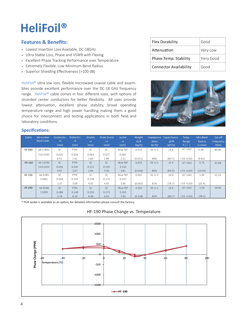## **HeliFoil®**

#### **Features & Benefits:**

- Lowest Insertion Loss Available, DC-18GHz
- Ultra Stable Loss, Phase and VSWR with Flexing
- Excellent Phase Tracking Performance over Temperature
- Extremely Flexible, Low Minimum Bend Radius ·
- Superior Shielding Effectiveness (>100 dB)

HeliFoil® ultra low loss, flexible microwave coaxial cable and assemblies provide excellent performance over the DC-18 GHz frequency range. HeliFoil® cable comes in four different sizes, with options of stranded center conductors for better flexibility. All sizes provide lowest attenuation, excellent phase stability, broad operating temperature range and high power handling making them a good choice for interconnect and testing applications in both field and laboratory conditions.

| <b>Flex Durability</b>        | Good      |
|-------------------------------|-----------|
| Attenuation                   | Very Low  |
| Phase Temp. Stability         | Very Good |
| <b>Connector Availability</b> | Good      |



#### **Specifications:**

| Cable         | AA number<br><b>Stock Code</b> | Conductor<br>in. | <b>Dielectric</b><br>in. | Shields<br>in | Outer braid<br>in | Jacket<br>in | Weight<br>1 <sub>b</sub> /ft | ohms        | Impedance Capacitance<br>pF/ft | Temp.<br>Range | Min.Bend<br>Radius | Cut-off<br>Frequency |
|---------------|--------------------------------|------------------|--------------------------|---------------|-------------------|--------------|------------------------------|-------------|--------------------------------|----------------|--------------------|----------------------|
|               |                                | (mm)             | (mm)                     | (mm)          | (mm)              | (mm)         | (kg/m)                       | Vp(%)       | (pF/m)                         | F(C)           | in (mm)            | (GHz)                |
| <b>HF-090</b> | AA-11892                       | <b>SC</b>        | PTFE                     | <b>SC</b>     | SC                | Blue FEP     | 0.010                        | $50 + (-1)$ | 24.6                           | $-67 + 342$    | 0.38               | 80.80                |
|               | 510-0145                       | 0.020            | 0.056                    | 0.063         | 0.077             | 0.087        |                              |             |                                |                |                    |                      |
|               |                                | 0.51             | 1.42                     | 1.60          | 1.96              | 2.21         | (0.015)                      | 80%         | (80.7)                         | $(-55 + 150)$  | (9.65)             |                      |
| HF-160        | AA-11594                       | <b>SC</b>        | PTFE                     | <b>SC</b>     | SC                | Blue FEP     | 0.025                        | $50 + (-1)$ | 25.4                           | $-67 + 342$    | 0.75               | 42.68                |
|               | 510-0101                       | 0.036            | 0.105                    | 0.112         | 0.130             | 0.150        |                              |             |                                |                |                    |                      |
|               |                                | 0.91             | 2.67                     | 2.84          | 3.30              | 3.81         | (0.038)                      | 80%         | (83.3)                         | $(-55 + 150)$  | (19.05)            |                      |
| HF-190        | AA-9185                        | SC               | PTFE                     | <b>SC</b>     | <b>SC</b>         | Blue FEP     | 0.042                        | $50 + (-1)$ | 24.0                           | $-67 + 342$    | 1.00               | 31.25                |
|               | 51881                          | 0.054            | 0.145                    | 0.158         | 0.175             | 0.197        |                              |             |                                |                |                    |                      |
|               |                                | 1.37             | 3.68                     | 4.01          | 4.45              | 5.00         | (0.063)                      | 81%         | (78.7)                         | $(-55 + 150)$  | (25.4)             |                      |
| <b>HF-290</b> | AA-9186                        | <b>SC</b>        | PTFE                     | <b>SC</b>     | <b>SC</b>         | Blue FEP     | 0.092                        | $50 + (-1)$ | 24.6                           | $-67 + 342$    | 1.50               | 18.96                |
|               | 51909                          | 0.088            | 0.240                    | 0.255         | 0.273             | 0.301        |                              |             |                                |                |                    |                      |
|               |                                | 2.24             | 6.10                     | 6.48          | 6.93              | 7.65         | (0.138)                      | 82%         | (80.7)                         | $(-55 + 150)$  | (38.1)             |                      |

\* PUR Jacket is available as an option, for detailed information please consult the factory.

#### HF-190 Phase Change vs. Temperature

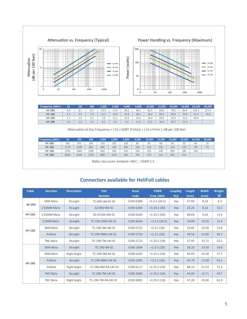

| <b>Frequency (MHz)</b> | 50  | 100 | 500  | 1.000 | 2.000 | 4.000 | 6,000 | 10.000 | 12.000 | 16.000 | 18,000 | 26,500 | 40.000        |
|------------------------|-----|-----|------|-------|-------|-------|-------|--------|--------|--------|--------|--------|---------------|
| HF-090                 | 4.3 | 6.1 | 13.7 | 19.5  | 27.6  | 39.2  | 48.1  | 62.5   | 68.6   | 79.5   | 84.4   | 103.1  | 1276<br>127.U |
| HF-160                 | 2.5 | 3.5 | 7.9  | 11.2  | 15.9  | 22.8  | 28.1  | 36.6   | 40.3   | 46.9   | 50.0   | 61.4   | 76.8          |
| HF-190                 |     | 7.4 | 5.5  | 7.8   | 11.1  | 15.9  | 19.6  | 26.0   | 28.0   | 33.0   | 35.0   | 40.9   |               |
| <b>HF-290</b>          | 1.0 | 1.4 | 3.2  | 4.5   | 6.5   | 9.3   | 11.6  | 15.2   | 16.8   | 19.7   | 21.0   |        |               |

| <b>Frequency (MHz)</b>                    | 50   | 100  | 500  | 1.000 | 2.000 | 4.000 | 6.000 | 10,000 | 12.000 | 16,000 | 18.000 | 26,500 | 40,000 |
|-------------------------------------------|------|------|------|-------|-------|-------|-------|--------|--------|--------|--------|--------|--------|
| HF-090                                    | 930  | 655  | 295  | 210   | 145   | 105   | 85    | 65     | 60     | 55     | 50     | 40     | 35     |
| HF-160                                    | 2175 | 1540 | 685  | 485   | 340   | 240   | 195   | 150    | 135    | 120    | 110    | 90     | 75     |
| HF-190                                    | 3765 | 2660 | 1180 | 830   | 585   | 410   | 330   | 255    | 230    | 200    | 185    | 150    |        |
| HF-290                                    | 8645 | 6100 | 2700 | 1895  | L325  | 925   | 745   | 570    | 515    | 440    | 415    |        |        |
| Watts; Sea Level; Ambient +40°C; VSWR 1:1 |      |      |      |       |       |       |       |        |        |        |        |        |        |

#### **Connectors available for HeliFoil cables**

| <b>Cable</b> | <b>Interface</b> | <b>Description</b> | Part<br><b>Number</b> | <b>Stock</b><br>Code | <b>VSWR</b><br>Freq. (GHz) | <b>Coupling</b><br><b>Nut</b> | Length<br>(mm) | <b>Width</b><br>(mm) | Weight<br>(g) |
|--------------|------------------|--------------------|-----------------------|----------------------|----------------------------|-------------------------------|----------------|----------------------|---------------|
|              | SMA Male         | Straight           | TC-090-SM-FF-SS       | 3190-6389            | <1.3:1(26.5)               | Hex                           | 17.00          | 9.24                 | 6.3           |
| HF-090       | 2.92MM Male      | Straight           | EZ-090-KM-SS          | 3190-6394            | <1.35:1(40)                | Hex                           | 25.26          | 9.24                 | 10.1          |
| HF-160       | 2.92MM Male      | Straight           | EZ-HF160-KM-SS        | 3190-6269            | <1.35:1(40)                | Hex                           | 49.69          | 9.24                 | 13.4          |
|              | 3.5MM Male       | Straight           | TC-190-35M-LW-SS      | 3190-6044            | <1.3:1(26.5)               | Hex                           | 34.99          | 10.50                | 15.4          |
| HF-190       | SMA Male         | Straight           | TC-190-SM-LW-SS       | 3190-2722            | <1.3:1(18)                 | Hex                           | 33.05          | 10.30                | 13.8          |
|              | N Male           | Straight           | TC-190-NMH-LW-SS      | 3190-2710            | <1.3:1(18)                 | Hex                           | 38.56          | 22.00                | 39.7          |
|              | TNC Male         | Straight           | TC-190-TM-LW-SS       | 3190-2723            | <1.35:1(18)                | Hex                           | 37.95          | 15.71                | 25.2          |
|              | SMA Male         | Straight           | TC-290-SM-SS          | 3190-2604            | <1.3:1(18)                 | Hex                           | 36.20          | 14.50                | 19.0          |
|              | SMA Male         | Right Angle        | TC-290-SM-RA-SS       | 3190-6205            | <1.35:1(18)                | Hex                           | 63.93          | 20.38                | 27.7          |
| HF-290       | N Male           | Straight           | TC-290-NMH-LW-SS      | 3190-2605            | <1.3:1(18)                 | Hex                           | 43.70          | 22.00                | 45.2          |
|              | N Male           | Right Angle        | TC-290-NM-RA-IW-SS    | 3190-6117            | <1.35:1(18)                | Hex                           | 48.10          | 31.43                | 71.4          |
|              | TNC Male         | Straight           | TC-290-TM-LW-SS       | 3190-2606            | $<$ 1.35:1 $(18)$          | Hex                           | 44.00          | 15.71                | 34.7          |
|              | TNC Male         | Right Angle        | TC-290-TM-RA-IW-SS    | 3190-3001            | <1.35:1(18)                | Hex                           | 47.28          | 35.00                | 61.0          |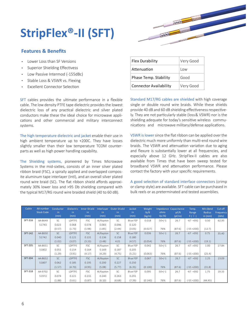# **StripFlex®-II (SFT)**



#### **Features & Benefits**

- Lower Loss than SF Versions ·
- Superior Shielding Effectivess ·
- Low Passive Intermod (-155dBc) ·
- Stable Loss & VSWR vs. Flexing ·
- Excellent Connector Selection ·

SFT cables provides the ultimate performance in a flexible cable. The low density PTFE tape dielectric provides the lowest dielectric loss of any practical dielectric and silver plated conductors make these the ideal choice for microwave applications and other commercial and military interconnect systems.

The high temperature dielectric and jacket enable their use in high ambient temperature up to +200C. They have losses slightly smaller than their low temperature TCOM counterparts as well as high power handling capability.

The Shielding systems, pioneered by Times Microwave Systems in the mid-sixties, consists of an inner silver plated ribbon braid (FSC), a spirally applied and overlapped composite aluminum tape interlayer (Intl), and an overall silver plated round wire braid (SC). The flat ribbon shield affords approximately 30% lower loss and >95 Db shielding compared with the typical M17/RG round wire braided shield (40 to 60 dB).

| <b>Flex Durability</b>        | Very Good |
|-------------------------------|-----------|
| Attenuation                   | l ow      |
| Phase Temp. Stability         | Good      |
| <b>Connector Availability</b> | Very Good |

Standard M17/RG cables are shielded with high coverage single or double round wire braids. While these shields provide 40 dB and 60 dB shielding effectiveness respectively. They are not particularly stable (loss& VSWR) nor is the shielding adequate for today's sensitive wireless communications and microwave military/defense applications.

VSWR is lower since the flat ribbon can be applied over the dielectric much more uniformly than multi-end round wire braids. The VSWR and attenuation variation due to aging and flexure is substantially lower at all frequencies, and especially above 12 GHz. StripFlex-II cables are also available from Times that have been sweep tested for broadband VSWR and attenuation performance. Please contact the factory with your specific requirements.

A good selection of standard interface connectors (crimp or clamp style) are available. SFT cable can be purchased in bulk reels or as preterminated and tested assemblies.

| Cable          | AA number<br><b>Stock Code</b> | Conductor<br>in.<br>(mm) | Dielectric<br>in.<br>(mm) | Inner Shield<br>in.<br>(mm) | Interlayer<br>in.<br>(mm) | Outer Shield<br>in.<br>(mm) | <b>Jacket</b><br>in.<br>(mm) | Weight<br>lb/ft<br>(kg/m) | ohms<br>Vp(%) | Impedance Capacitance<br>pF/ft<br>(pF/m) | Temp.<br>Range<br>F(C) | Min.Bend<br>Radius<br>in (mm) | Cut-off<br><b>Frequency</b><br>(GHz) |
|----------------|--------------------------------|--------------------------|---------------------------|-----------------------------|---------------------------|-----------------------------|------------------------------|---------------------------|---------------|------------------------------------------|------------------------|-------------------------------|--------------------------------------|
| SFT-316        | AA-8649                        | <b>SC</b>                | LDPTFE                    | <b>FSC</b>                  | Al/Kapton                 | <b>SC</b>                   | Blue FEP                     | 0.018                     | $50+/-1$      | 26.7                                     | $-67 + 392$            | 0.50                          | 62.95                                |
|                | 51743                          | 0.023                    | 0.068                     | 0.078                       | 0.083                     | 0.096                       | 0.120                        |                           |               |                                          |                        |                               |                                      |
|                |                                | (0.57)                   | (1.73)                    | (1.98)                      | (1.85)                    | (2.44)                      | (3.05)                       | (0.027)                   | 76%           | (87.6)                                   | $(-55 + 200)$          | (12.7)                        |                                      |
| SFT-142        | AA-8650                        | <b>SC</b>                | <b>LDPTFE</b>             | FSC                         | Al/Kapton                 | <b>SC</b>                   | Blue FEP                     | 0.036                     | $50+/-1$      | 26.7                                     | $-67 + 392$            | 0.75                          | 35.40                                |
|                | 51742                          | 0.040                    | 0.121                     | 0.131                       | 0.136                     | 0.158                       | 0.180                        |                           |               |                                          |                        |                               |                                      |
|                |                                | (1.02)                   | (3.07)                    | (3.33)                      | (3.48)                    | 4.01                        | (4.57)                       | (0.054)                   | 76%           | (87.6)                                   | $(-55 + 200)$          | (19.1)                        |                                      |
| <b>SFT-205</b> | AA-8651                        | <b>SC</b>                | LDPTFE                    | <b>FSC</b>                  | Al/Kapton                 | <b>SC</b>                   | Blue FEP                     | 0.042                     | $50+/-1$      | 26.7                                     | $-67 + 392$            | 1.00                          | 27.84                                |
|                | 51802                          | 0.051                    | 0.154                     | 0.164                       | 0.169                     | 0.187                       | 0.205                        |                           |               |                                          |                        |                               |                                      |
|                |                                | (1.29)                   | (3.91)                    | (4.17)                      | (4.29)                    | (4.75)                      | (5.21)                       | (0.063)                   | 76%           | (87.6)                                   | $(-55 + 200)$          | (25.4)                        |                                      |
| SFT-304        | AA-8652                        | <b>SC</b>                | <b>LDPTFE</b>             | <b>FSC</b>                  | Al/Kapton                 | <b>SC</b>                   | Blue FEP                     | 0.067                     | $50+/-1$      | 26.7                                     | $-67 + 392$            | 1.25                          | 23.09                                |
|                | 51807                          | 0.062                    | 0.185                     | 0.195                       | 0.200                     | 0.227                       | 0.250                        |                           |               |                                          |                        |                               |                                      |
|                |                                | (1.57)                   | (4.70)                    | (4.95)                      | (5.08)                    | (5.77)                      | (6.35)                       | (0.100)                   | 76%           | (87.6)                                   | $(-55 + 200)$          | (31.8)                        |                                      |
| SFT-318        | AA-9702                        | <b>SC</b>                | <b>LDPTFE</b>             | <b>FSC</b>                  | Al/Kapton                 | <b>SC</b>                   | Blue FEP                     | 0.095                     | $50+/-1$      | 26.7                                     | $-67 + 392$            | 1.75                          | 19.33                                |
|                | 51972                          | 0.074                    | 0.221                     | 0.231                       | 0.240                     | 0.263                       | 0.291                        |                           |               |                                          |                        |                               |                                      |
|                |                                | (1.88)                   | (5.61)                    | (5.87)                      | (6.10)                    | (6.68)                      | (7.39)                       | (0.140)                   | 76%           | (87.6)                                   | $(-55 + 200)$          | (44.45)                       |                                      |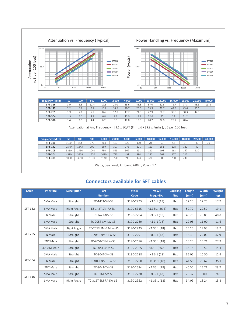

| <b>Frequency (MHz)</b> | 50                                                                        | 100  | 500  | 1.000 | 2,000 | 4,000 | 6,000 | 10,000 | 12,000 | 16,000 | 18,000 | 26500 | 40,000 |
|------------------------|---------------------------------------------------------------------------|------|------|-------|-------|-------|-------|--------|--------|--------|--------|-------|--------|
| SFT-316                | 1180                                                                      | 854  | 370  | 263   | 183   | 120   | 100   | 70     | 69     | 58     | 54     | 40    | 30     |
| SFT-142                | 2540                                                                      | 1843 | 790  | 569   | 397   | 275   | 221   | 160    | 151    | 128    | 120    | 90    |        |
| <b>SFT-205</b>         | 3360                                                                      | 2430 | 1040 | 750   | 523   | 362   | 291   | 210    | 198    | 168    | 157    | 120   |        |
| SFT-304                | 4590                                                                      | 3309 | 1420 | 1020  | 710   | 491   | 394   | 290    | 268    | 227    | 212    |       |        |
| SFT-318                | 5000                                                                      | 3690 | 1630 | 1140  | 790   | 590   | 474   | 330    | 300    | 250    | 240    |       |        |
|                        | $MLH = C \cdot  U \cdot L $ And $L^* = L^* \cap C$ and $L^* = L^* \cap C$ |      |      |       |       |       |       |        |        |        |        |       |        |

Watts; Sea Level; Ambient +40 ℃; VSWR 1:1

#### **Connectors available for SFT cables**

| <b>Cable</b> | <b>Interface</b> | <b>Description</b> | Part<br><b>Number</b> | <b>Stock</b><br>Code | <b>VSWR</b><br>Freq. (GHz) | <b>Coupling</b><br><b>Nut</b> | Length<br>(mm) | <b>Width</b><br>(mm) | Weight<br>(g) |
|--------------|------------------|--------------------|-----------------------|----------------------|----------------------------|-------------------------------|----------------|----------------------|---------------|
|              | SMA Male         | Straight           | TC-142T-SM-SS         | 3190-2793            | <1.3:1(18)                 | Hex                           | 32.20          | 12.70                | 17.7          |
| SFT-142      | SMA Male         | Right Angle        | EZ-142T-SM-RA-SS      | 3190-6315            | $<$ 1.35:1 (26.5)          | Hex                           | 50.72          | 20.50                | 19.1          |
|              | N Male           | Straight           | TC-142T-NM-SS         | 3190-2794            | <1.3:1(18)                 | Hex                           | 40.25          | 20.80                | 40.8          |
|              | SMA Male         | Straight           | TC-205T-SM-LW-SS      | 3190-2289            | <1.3:1(18)                 | Hex                           | 29.08          | 11.00                | 11.6          |
| SFT-205      | SMA Male         | Right Angle        | TC-205T-SM-RA-LW-SS   | 3190-2733            | <1.35:1(18)                | Hex                           | 35.25          | 19.03                | 19.7          |
|              | N Male           | Straight           | TC-205T-NMH-LW-SS     | 3190-2291            | <1.3:1(18)                 | Hex                           | 38.30          | 22.00                | 42.9          |
|              | TNC Male         | Straight           | TC-205T-TM-LW-SS      | 3190-2676            | <1.35:1(18)                | Hex                           | 38.20          | 15.71                | 27.9          |
|              | 3.5MM Male       | Straight           | TC-205T-35M-SS        | 3190-2925            | <1.3:1(26.5)               | Hex                           | 35.18          | 10.50                | 14.4          |
|              | SMA Male         | Straight           | TC-304T-SM-SS         | 3190-2288            | <1.3:1(18)                 | Hex                           | 35.05          | 10.50                | 12.4          |
| SFT-304      | N Male           | Straight           | TC-304T-NMH-LW-SS     | 3190-2290            | <1.35:1(18)                | Hex                           | 41.50          | 23.67                | 35.1          |
|              | TNC Male         | Straight           | TC-304T-TM-SS         | 3190-2584            | <1.35:1(18)                | Hex                           | 40.00          | 15.71                | 23.7          |
| SFT-316      | SMA Male         | Straight           | TC-316T-SM-SS         | 3190-2738            | <1.3:1(18)                 | Hex                           | 28.37          | 9.00                 | 9.8           |
|              | SMA Male         | Right Angle        | TC-316T-SM-RA-I W-SS  | 3190-2952            | <1.35:1(18)                | Hex                           | 34.09          | 18.24                | 15.8          |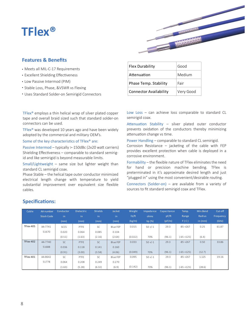### **TFlex®**

#### **Features & Benefits**

- Meets all MIL-C-17 Requirements
- Excellent Shielding Effectiveness
- Low Passive Intermod (PIM)
- Stable Loss, Phase, &VSWR vs Flexing
- Uses Standard Solder-on Semirigid Connectors ·

TFlex® employs a thin helical wrap of silver plated copper tape and overall braid sized such that standard solder-on connectors can be used.

TFlex® was developed 10 years ago and have been widely adopted by the commercial and military OEM's.

#### Some of the key characteristics of TFlex® are:

Passive Intermod – typically > -150dBc (2x20 watt carriers) Shielding Effectiveness – comparable to standard semirigid and like semirigid is beyond measurable limits.

Small/Lightweight – same size but lighter weight than standard CL semirigid coax.

Phase Stable – the helical tape outer conductor minimized electrical length change with temperature to yield substantial improvement over equivalent size flexible cables.

| <b>Flex Durability</b> | Good   |  |
|------------------------|--------|--|
| Attenuation            | Medium |  |
| Phase Temp. Stability  | Fair   |  |

Low Loss - can achieve loss comparable to standard CL semirigid coax.

Connector Availability | Very Good

Attenuation Stability – silver plated outer conductor prevents oxidation of the conductors thereby minimizing attenuation change vs time.

Power Handling – comparable to standard CL semirigid. Corrosion Resistance – jacketing of the cable with FEP provides excellent protection when cable is deployed in a corrosive environment.

Formability – the flexible nature of TFlex eliminates the need for hand or precision machine bending. TFlex is preterminated in it's approximate desired length and just "plugged in" using the most convenient/desirable routing.

Connectors (Solder-on) – are available from a variety of sources to fit standard semirigid coax and TFlex.

| Cable     | AA number         | Conductor   | <b>Dielectric</b> | Shields   | Jacket   | Weight             | Impedance   | Capacitance | Temp.         | Min.Bend | Cut-off   |
|-----------|-------------------|-------------|-------------------|-----------|----------|--------------------|-------------|-------------|---------------|----------|-----------|
|           | <b>Stock Code</b> | in.         | in.               | in.       | in.      | 1 <sub>b</sub> /ft | ohms        | pF/ft       | Range         | Radius   | Frequency |
|           |                   | (mm)        | (mm)              | (mm)      | (mm)     | (kg/m)             | Vp (%)      | (pF/m)      | F(C)          | in (mm)  | (GHz)     |
| TFlex-405 | AA-7741           | <b>SCCS</b> | PTFE              | SC        | Blue FEP | 0.015              | $50 + (-1)$ | 29.3        | $-85 + 267$   | 0.25     | 61.87     |
|           | 51670             | 0.020       | 0.064             | 0.085     | 0.104    |                    |             |             |               |          |           |
|           |                   | (0.51)      | (1.63)            | (2.16)    | (2.64)   | (0.022)            | 70%         | (96.1)      | $(-65 + 125)$ | (6.4)    |           |
| TFlex-402 | AA-7740           | <b>SC</b>   | PTFE              | <b>SC</b> | Blue FEP | 0.033              | $50 + (-1)$ | 29.3        | $-85 + 267$   | 0.50     | 33.86     |
|           | 51688             | 0.036       | 0.118             | 0.141     | 0.160    |                    |             |             |               |          |           |
|           |                   | (0.91)      | (3.00)            | (3.58)    | (4.06)   | (0.049)            | 70%         | (96.1)      | $(-65 + 125)$ | (12.7)   |           |
| TFlex-401 | AA-8642           | <b>SC</b>   | PTFE              | SC        | Blue FEP | 0.095              | $50 + (-1)$ | 29.3        | $-85 + 267$   | 1.125    | 19.16     |
|           | 51778             | 0.064       | 0.208             | 0.249     | 0.270    |                    |             |             |               |          |           |
|           |                   | (1.63)      | (5.28)            | (6.32)    | (6.9)    | (0.142)            | 70%         | (96.1)      | $(-65 + 125)$ | (28.6)   |           |

#### **Specifications:**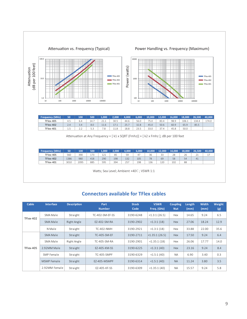

| <b>Frequency (MHz)</b> | 50  | 100   | 500 | 1.000 | 2.000 | 4.000 | 6,000 | 10.000 | 12,000 | 16,000 | 18,000 | 26.500 | 40,000 |
|------------------------|-----|-------|-----|-------|-------|-------|-------|--------|--------|--------|--------|--------|--------|
| TFlex-405              | 4.5 | 6.4   | 14. | 41.I  | 30.5  | 44.6  | 56.0  | 75.0   | 83.4   | 98.9   | 106.1  | 134.4  | 174.0  |
| TFlex-402              | 2.4 | 3.4   | 8.0 | 11.6  |       | 25.7  | 32.8  | 45.0   | 50.6   | 60.9   | 65.9   | 85.5   |        |
| TFlex-401              | 1.5 | ے ، د | 5.3 | ه.    |       | 18.8  | 23.5  | 33.0   | 37.4   | 45.8   | 50.0   |        |        |

| <b>Frequency (MHz)</b> | 50   | 100  | 500 | 1,000 | 2.000 | 4,000 | 6,000 | $10,000$ $^{\circ}$ | 12.000 | 16,000 | 18.000 | 26.500 | 40,000   |
|------------------------|------|------|-----|-------|-------|-------|-------|---------------------|--------|--------|--------|--------|----------|
| TFlex-405              | 560  | 390  |     | 121   | 85    | 59    | 4.    | 36                  | 33     | 28     | 26     |        | <b>.</b> |
| TFlex-402              | 1386 | 980  | 418 | 290   | 198   | 132   | 105   | 78                  | 69     | 58     | 54     | 41     |          |
| TFlex-401              | 3010 | 2095 | 885 | 595   | 394   | 257   | 198   | 136                 | 120    | 102    | 88     |        |          |

Watts; Sea Level; Ambient +40°C; VSWR 1:1

#### **Connectors available for TFlex cables**

| Cable     | <b>Interface</b> | <b>Description</b> | Part<br><b>Number</b> | <b>Stock</b><br>Code | <b>VSWR</b><br>Freq. (GHz) | <b>Coupling</b><br><b>Nut</b> | Length<br>(mm) | <b>Width</b><br>(mm) | Weight<br>(g) |
|-----------|------------------|--------------------|-----------------------|----------------------|----------------------------|-------------------------------|----------------|----------------------|---------------|
|           | SMA Male         | Straight           | TC-402-SM-EF-SS       | 3190-6248            | $<$ 1.3:1 (26.5)           | Hex                           | 14.65          | 9.24                 | 6.5           |
| TFlex-402 | SMA Male         | Right Angle        | F7-402-SM-RA          | 3190-2902            | $<$ 1.3:1 (18)             | <b>Hex</b>                    | 27.06          | 18.24                | 12.9          |
|           | N Male           | Straight           | <b>TC-402-NMH</b>     | 3190-2921            | <1.3:1(18)                 | Hex                           | 33.88          | 22.00                | 35.6          |
|           | SMA Male         | Straight           | TC-405-SM-FF          | 3190-2711            | <1.35:1(26.5)              | Hex                           | 17.50          | 9.24                 | 6.4           |
|           | SMA Male         | Right Angle        | <b>TC-405-SM-RA</b>   | 3190-2901            | $<$ 1.35:1 $(18)$          | Hex                           | 26.06          | 17.77                | 14.0          |
| TFlex-405 | 2.92MM Male      | Straight           | F7-405-KM-SS          | 3190-6225            | $<$ 1.3:1 (40)             | <b>Hex</b>                    | 23.16          | 9.24                 | 8.4           |
|           | SMP Female       | Straight           | TC-405-SMPF           | 3190-6329            | <1.5:1(40)                 | <b>NA</b>                     | 6.90           | 3.40                 | 0.3           |
|           | MSMP Female      | Straight           | EZ-405-MSMPF          | 3190-6314            | <1.5:1(40)                 | <b>NA</b>                     | 11.24          | 3.80                 | 3.5           |
|           | 2.92MM Female    | Straight           | EZ-405-KF-SS          | 3190-6309            | <1.35:1(40)                | <b>NA</b>                     | 15.57          | 9.24                 | 5.8           |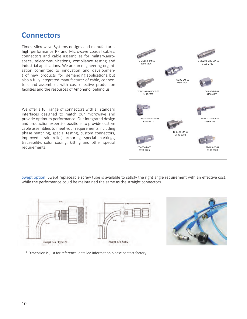### **Connectors**

Times Microwave Systems designs and manufactures high performance RF and Microwave coaxial cables, connectors and cable assemblies for military,aerospace, telecommunications, compliance testing and industrial applications. We are an engineering organization committed to innovation and development of new products for demanding applications, but also a fully integrated manufacturer of cable, connectors and assemblies with cost effective production facilities and the resources of Amphenol behind us.

We offer a full range of connectors with all standard interfaces designed to match our microwave and provide optimum performance. Our integrated design and production expertise positions to provide custom cable assemblies to meet your requirements including phase matching, special testing, custom connectors, improved strain relief, armoring, special markings, traceability, color coding, kitting and other special requirements.



Swept option: Swept replaceable screw tube is available to satisfy the right angle requirement with an effective cost, while the performance could be maintained the same as the straight connectors.





\* Dimension is just for reference, detailed information please contact factory.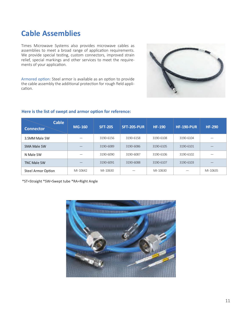### **Cable Assemblies**

Times Microwave Systems also provides microwave cables as assemblies to meet a broad range of application requirements. We provide special testing, custom connectors, improved strain relief, special markings and other services to meet the requirements of your application.

Armored option: Steel armor is available as an option to provide the cable assembly the additional protection for rough field application.



#### **Here is the list of swept and armor option for reference:**

| <b>Cable</b><br><b>Connector</b> | <b>MG-160</b> | <b>SFT-205</b> | <b>SFT-205-PUR</b> | <b>HF-190</b> | <b>HF-190-PUR</b> | <b>HF-290</b> |
|----------------------------------|---------------|----------------|--------------------|---------------|-------------------|---------------|
| 3.5MM Male SW                    |               | 3190-6156      | 3190-6158          | 3190-6108     | 3190-6104         |               |
| <b>SMA Male SW</b>               |               | 3190-6089      | 3190-6086          | 3190-6105     | 3190-6101         |               |
| N Male SW                        |               | 3190-6090      | 3190-6087          | 3190-6106     | 3190-6102         |               |
| <b>TNC Male SW</b>               |               | 3190-6091      | 3190-6088          | 3190-6107     | 3190-6103         |               |
| Steel Armor Option               | MI-10642      | MI-10630       |                    | MI-10630      |                   | MI-10635      |

\*ST=Straight \*SW=Swept tube \*RA=Right Angle